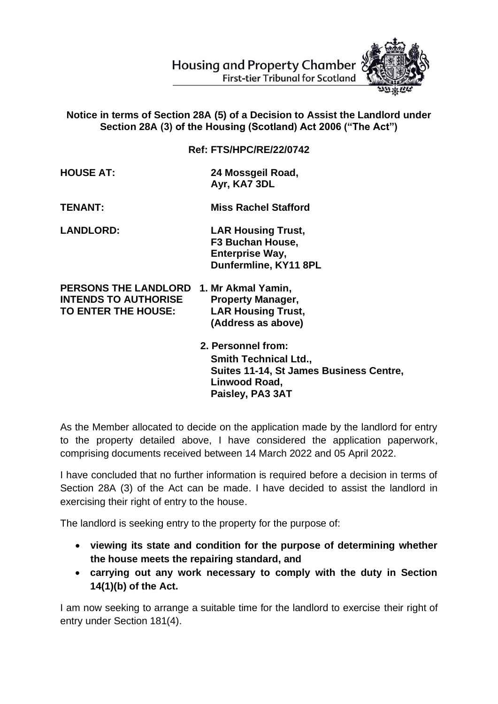

## **Notice in terms of Section 28A (5) of a Decision to Assist the Landlord under Section 28A (3) of the Housing (Scotland) Act 2006 ("The Act")**

**Ref: FTS/HPC/RE/22/0742**

| <b>HOUSE AT:</b> | 24 Mossgeil Road, |
|------------------|-------------------|
|                  | Ayr, KA7 3DL      |

**TENANT: Miss Rachel Stafford**

**LANDLORD: LAR Housing Trust, F3 Buchan House, Enterprise Way, Dunfermline, KY11 8PL** 

**PERSONS THE LANDLORD 1. Mr Akmal Yamin, INTENDS TO AUTHORISE Property Manager, TO ENTER THE HOUSE: LAR Housing Trust, (Address as above)** 

> **2. Personnel from: Smith Technical Ltd., Suites 11-14, St James Business Centre, Linwood Road, Paisley, PA3 3AT**

As the Member allocated to decide on the application made by the landlord for entry to the property detailed above, I have considered the application paperwork, comprising documents received between 14 March 2022 and 05 April 2022.

I have concluded that no further information is required before a decision in terms of Section 28A (3) of the Act can be made. I have decided to assist the landlord in exercising their right of entry to the house.

The landlord is seeking entry to the property for the purpose of:

- **viewing its state and condition for the purpose of determining whether the house meets the repairing standard, and**
- **carrying out any work necessary to comply with the duty in Section 14(1)(b) of the Act.**

I am now seeking to arrange a suitable time for the landlord to exercise their right of entry under Section 181(4).